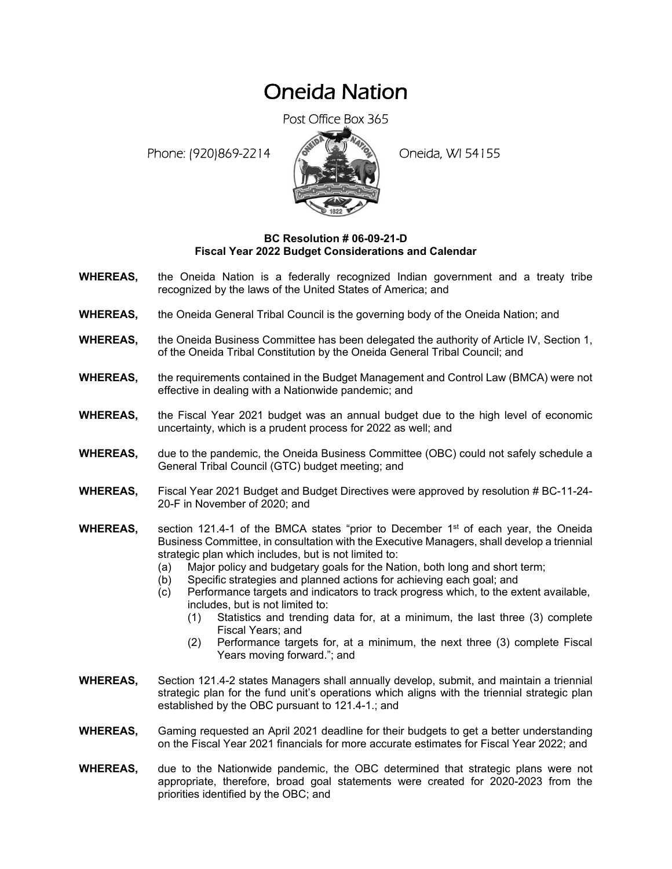# Oneida Nation

Post Office Box 365

Phone: (920)869-2214 (8 April 2) Oneida, WI 54155



## **BC Resolution # 06-09-21-D Fiscal Year 2022 Budget Considerations and Calendar**

- **WHEREAS,** the Oneida Nation is a federally recognized Indian government and a treaty tribe recognized by the laws of the United States of America; and
- **WHEREAS,** the Oneida General Tribal Council is the governing body of the Oneida Nation; and
- **WHEREAS,** the Oneida Business Committee has been delegated the authority of Article IV, Section 1, of the Oneida Tribal Constitution by the Oneida General Tribal Council; and
- **WHEREAS,** the requirements contained in the Budget Management and Control Law (BMCA) were not effective in dealing with a Nationwide pandemic; and
- **WHEREAS,** the Fiscal Year 2021 budget was an annual budget due to the high level of economic uncertainty, which is a prudent process for 2022 as well; and
- **WHEREAS,** due to the pandemic, the Oneida Business Committee (OBC) could not safely schedule a General Tribal Council (GTC) budget meeting; and
- **WHEREAS,** Fiscal Year 2021 Budget and Budget Directives were approved by resolution # BC-11-24- 20-F in November of 2020; and
- **WHEREAS,** section 121.4-1 of the BMCA states "prior to December 1<sup>st</sup> of each year, the Oneida Business Committee, in consultation with the Executive Managers, shall develop a triennial strategic plan which includes, but is not limited to:
	- (a) Major policy and budgetary goals for the Nation, both long and short term;
	- (b) Specific strategies and planned actions for achieving each goal; and
	- (c) Performance targets and indicators to track progress which, to the extent available, includes, but is not limited to:
		- (1) Statistics and trending data for, at a minimum, the last three (3) complete Fiscal Years; and
		- (2) Performance targets for, at a minimum, the next three (3) complete Fiscal Years moving forward."; and
- **WHEREAS,** Section 121.4-2 states Managers shall annually develop, submit, and maintain a triennial strategic plan for the fund unit's operations which aligns with the triennial strategic plan established by the OBC pursuant to 121.4-1.; and
- **WHEREAS,** Gaming requested an April 2021 deadline for their budgets to get a better understanding on the Fiscal Year 2021 financials for more accurate estimates for Fiscal Year 2022; and
- **WHEREAS,** due to the Nationwide pandemic, the OBC determined that strategic plans were not appropriate, therefore, broad goal statements were created for 2020-2023 from the priorities identified by the OBC; and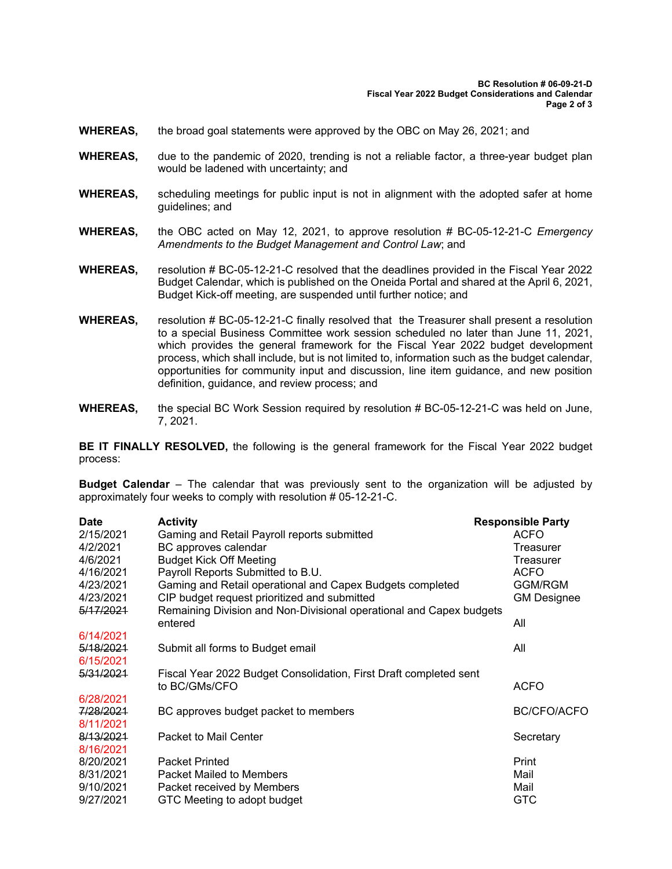- **WHEREAS,** the broad goal statements were approved by the OBC on May 26, 2021; and
- **WHEREAS,** due to the pandemic of 2020, trending is not a reliable factor, a three-year budget plan would be ladened with uncertainty; and
- **WHEREAS,** scheduling meetings for public input is not in alignment with the adopted safer at home guidelines; and
- **WHEREAS,** the OBC acted on May 12, 2021, to approve resolution # BC-05-12-21-C *Emergency Amendments to the Budget Management and Control Law*; and
- **WHEREAS,** resolution # BC-05-12-21-C resolved that the deadlines provided in the Fiscal Year 2022 Budget Calendar, which is published on the Oneida Portal and shared at the April 6, 2021, Budget Kick-off meeting, are suspended until further notice; and
- **WHEREAS,** resolution # BC-05-12-21-C finally resolved that the Treasurer shall present a resolution to a special Business Committee work session scheduled no later than June 11, 2021, which provides the general framework for the Fiscal Year 2022 budget development process, which shall include, but is not limited to, information such as the budget calendar, opportunities for community input and discussion, line item guidance, and new position definition, guidance, and review process; and
- **WHEREAS,** the special BC Work Session required by resolution # BC-05-12-21-C was held on June, 7, 2021.

**BE IT FINALLY RESOLVED,** the following is the general framework for the Fiscal Year 2022 budget process:

**Budget Calendar** – The calendar that was previously sent to the organization will be adjusted by approximately four weeks to comply with resolution # 05-12-21-C.

| <b>Date</b> | <b>Activity</b>                                                     | <b>Responsible Party</b> |                    |
|-------------|---------------------------------------------------------------------|--------------------------|--------------------|
| 2/15/2021   | Gaming and Retail Payroll reports submitted                         |                          | <b>ACFO</b>        |
| 4/2/2021    | BC approves calendar                                                |                          | Treasurer          |
| 4/6/2021    | <b>Budget Kick Off Meeting</b>                                      |                          | Treasurer          |
| 4/16/2021   | Payroll Reports Submitted to B.U.                                   |                          | <b>ACFO</b>        |
| 4/23/2021   | Gaming and Retail operational and Capex Budgets completed           |                          | <b>GGM/RGM</b>     |
| 4/23/2021   | CIP budget request prioritized and submitted                        |                          | <b>GM Designee</b> |
| 5/17/2021   | Remaining Division and Non-Divisional operational and Capex budgets |                          |                    |
|             | entered                                                             |                          | All                |
| 6/14/2021   |                                                                     |                          |                    |
| 5/18/2021   | Submit all forms to Budget email                                    |                          | All                |
| 6/15/2021   |                                                                     |                          |                    |
| 5/31/2021   | Fiscal Year 2022 Budget Consolidation, First Draft completed sent   |                          |                    |
|             | to BC/GMs/CFO                                                       |                          | <b>ACFO</b>        |
| 6/28/2021   |                                                                     |                          |                    |
| 7/28/2021   | BC approves budget packet to members                                |                          | <b>BC/CFO/ACFO</b> |
| 8/11/2021   |                                                                     |                          |                    |
| 8/13/2021   | Packet to Mail Center                                               |                          | Secretary          |
| 8/16/2021   |                                                                     |                          |                    |
| 8/20/2021   | <b>Packet Printed</b>                                               |                          | Print              |
| 8/31/2021   | <b>Packet Mailed to Members</b>                                     |                          | Mail               |
| 9/10/2021   | Packet received by Members                                          |                          | Mail               |
| 9/27/2021   | GTC Meeting to adopt budget                                         |                          | <b>GTC</b>         |